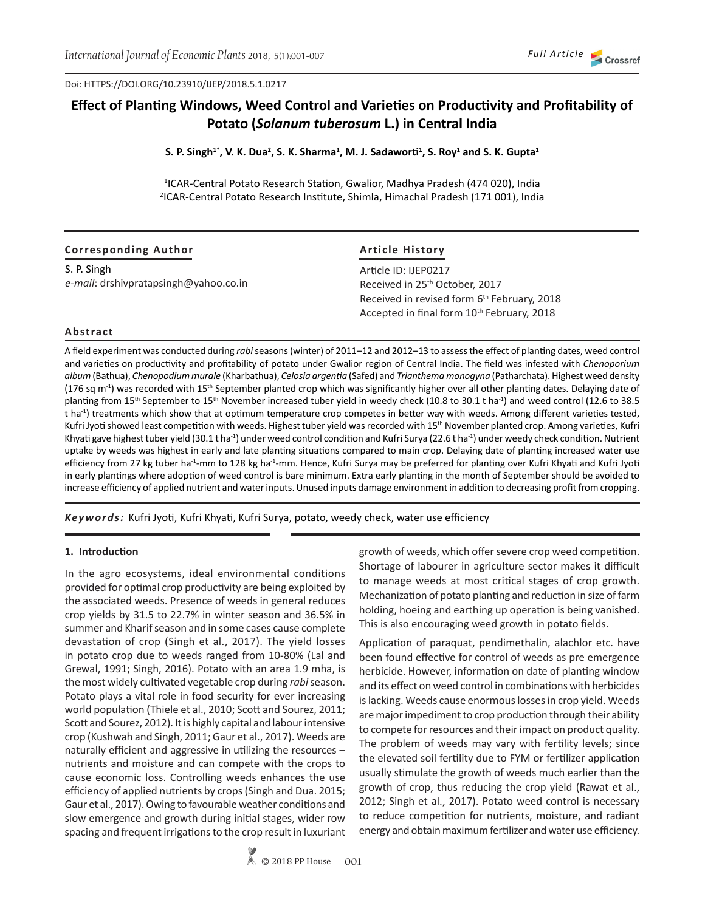Doi: HTTPS://DOI.ORG/10.23910/IJEP/2018.5.1.0217

# **Effect of Planting Windows, Weed Control and Varieties on Productivity and Profitability of Potato (***Solanum tuberosum* **L.) in Central India**

**S. P. Singh1\*, V. K. Dua<sup>2</sup> , S. K. Sharma<sup>1</sup> , M. J. Sadaworti<sup>1</sup> , S. Roy<sup>1</sup> and S. K. Gupta<sup>1</sup>**

<sup>1</sup>ICAR-Central Potato Research Station, Gwalior, Madhya Pradesh (474 020), India 2 ICAR-Central Potato Research Institute, Shimla, Himachal Pradesh (171 001), India

| <b>Corresponding Author</b>           | <b>Article History</b>                                                                                            |  |  |  |  |  |
|---------------------------------------|-------------------------------------------------------------------------------------------------------------------|--|--|--|--|--|
| S. P. Singh                           | Article ID: IJEP0217                                                                                              |  |  |  |  |  |
| e-mail: drshivpratapsingh@yahoo.co.in | Received in 25 <sup>th</sup> October, 2017                                                                        |  |  |  |  |  |
|                                       | Received in revised form 6 <sup>th</sup> February, 2018<br>Accepted in final form 10 <sup>th</sup> February, 2018 |  |  |  |  |  |

#### **Abstract**

A field experiment was conducted during *rabi* seasons (winter) of 2011–12 and 2012–13 to assess the effect of planting dates, weed control and varieties on productivity and profitability of potato under Gwalior region of Central India. The field was infested with *Chenoporium album* (Bathua), *Chenopodium murale* (Kharbathua), *Celosia argentia* (Safed) and *Trianthema monogyna* (Patharchata). Highest weed density  $(176$  sq m<sup>-1</sup>) was recorded with 15<sup>th</sup> September planted crop which was significantly higher over all other planting dates. Delaying date of planting from 15th September to 15th November increased tuber yield in weedy check (10.8 to 30.1 t ha-1) and weed control (12.6 to 38.5 t ha<sup>-1</sup>) treatments which show that at optimum temperature crop competes in better way with weeds. Among different varieties tested, Kufri Jyoti showed least competition with weeds. Highest tuber yield was recorded with 15<sup>th</sup> November planted crop. Among varieties, Kufri Khyati gave highest tuber yield (30.1 t ha<sup>-1</sup>) under weed control condition and Kufri Surya (22.6 t ha<sup>-1</sup>) under weedy check condition. Nutrient uptake by weeds was highest in early and late planting situations compared to main crop. Delaying date of planting increased water use efficiency from 27 kg tuber ha<sup>-1</sup>-mm to 128 kg ha<sup>-1</sup>-mm. Hence, Kufri Surya may be preferred for planting over Kufri Khyati and Kufri Jyoti in early plantings where adoption of weed control is bare minimum. Extra early planting in the month of September should be avoided to increase efficiency of applied nutrient and water inputs. Unused inputs damage environment in addition to decreasing profit from cropping.

*Keywords:* Kufri Jyoti, Kufri Khyati, Kufri Surya, potato, weedy check, water use efficiency

#### **1. Introduction**

In the agro ecosystems, ideal environmental conditions provided for optimal crop productivity are being exploited by the associated weeds. Presence of weeds in general reduces crop yields by 31.5 to 22.7% in winter season and 36.5% in summer and Kharif season and in some cases cause complete devastation of crop (Singh et al., 2017). The yield losses in potato crop due to weeds ranged from 10-80% (Lal and Grewal, 1991; Singh, 2016). Potato with an area 1.9 mha, is the most widely cultivated vegetable crop during *rabi* season. Potato plays a vital role in food security for ever increasing world population (Thiele et al., 2010; Scott and Sourez, 2011; Scott and Sourez, 2012). It is highly capital and labour intensive crop (Kushwah and Singh, 2011; Gaur et al., 2017). Weeds are naturally efficient and aggressive in utilizing the resources – nutrients and moisture and can compete with the crops to cause economic loss. Controlling weeds enhances the use efficiency of applied nutrients by crops (Singh and Dua. 2015; Gaur et al., 2017). Owing to favourable weather conditions and slow emergence and growth during initial stages, wider row spacing and frequent irrigations to the crop result in luxuriant

growth of weeds, which offer severe crop weed competition. Shortage of labourer in agriculture sector makes it difficult to manage weeds at most critical stages of crop growth. Mechanization of potato planting and reduction in size of farm holding, hoeing and earthing up operation is being vanished. This is also encouraging weed growth in potato fields.

Application of paraquat, pendimethalin, alachlor etc. have been found effective for control of weeds as pre emergence herbicide. However, information on date of planting window and its effect on weed control in combinations with herbicides is lacking. Weeds cause enormous losses in crop yield. Weeds are major impediment to crop production through their ability to compete for resources and their impact on product quality. The problem of weeds may vary with fertility levels; since the elevated soil fertility due to FYM or fertilizer application usually stimulate the growth of weeds much earlier than the growth of crop, thus reducing the crop yield (Rawat et al., 2012; Singh et al., 2017). Potato weed control is necessary to reduce competition for nutrients, moisture, and radiant energy and obtain maximum fertilizer and water use efficiency.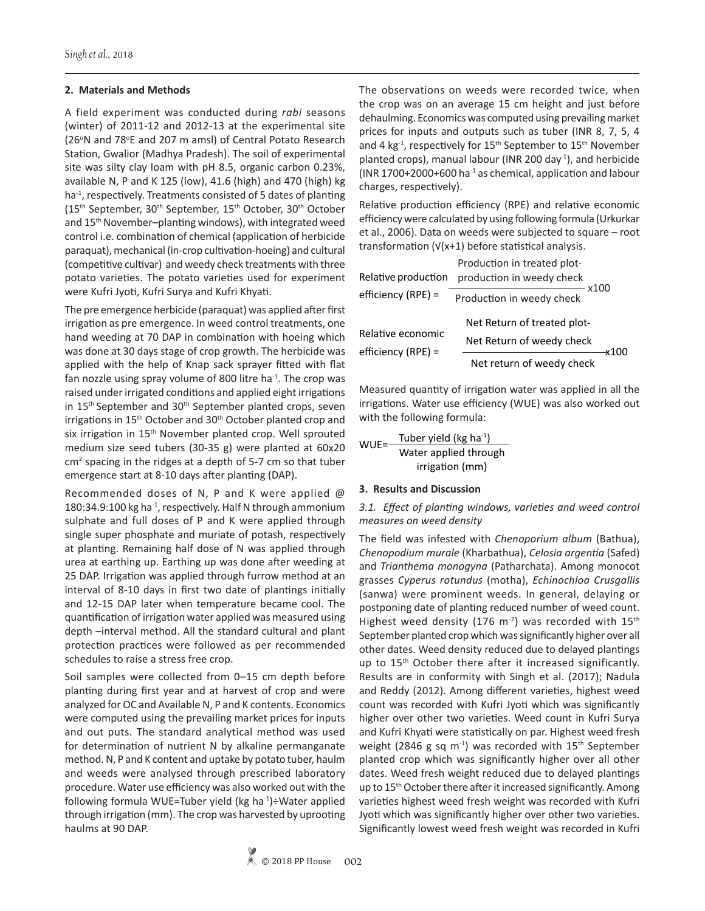#### **2. Materials and Methods**

A field experiment was conducted during *rabi* seasons (winter) of 2011-12 and 2012-13 at the experimental site (26°N and 78°E and 207 m amsl) of Central Potato Research Station, Gwalior (Madhya Pradesh). The soil of experimental site was silty clay loam with pH 8.5, organic carbon 0.23%, available N, P and K 125 (low), 41.6 (high) and 470 (high) kg ha<sup>-1</sup>, respectively. Treatments consisted of 5 dates of planting (15th September, 30th September, 15th October, 30th October and 15th November–planting windows), with integrated weed control i.e. combination of chemical (application of herbicide paraquat), mechanical (in-crop cultivation-hoeing) and cultural (competitive cultivar) and weedy check treatments with three potato varieties. The potato varieties used for experiment were Kufri Jyoti, Kufri Surya and Kufri Khyati.

The pre emergence herbicide (paraquat) was applied after first irrigation as pre emergence. In weed control treatments, one hand weeding at 70 DAP in combination with hoeing which was done at 30 days stage of crop growth. The herbicide was applied with the help of Knap sack sprayer fitted with flat fan nozzle using spray volume of 800 litre ha<sup>-1</sup>. The crop was raised under irrigated conditions and applied eight irrigations in 15<sup>th</sup> September and 30<sup>th</sup> September planted crops, seven irrigations in 15<sup>th</sup> October and 30<sup>th</sup> October planted crop and six irrigation in 15<sup>th</sup> November planted crop. Well sprouted medium size seed tubers (30-35 g) were planted at 60x20 cm<sup>2</sup> spacing in the ridges at a depth of 5-7 cm so that tuber emergence start at 8-10 days after planting (DAP).

Recommended doses of N, P and K were applied @ 180:34.9:100 kg ha<sup>-1</sup>, respectively. Half N through ammonium sulphate and full doses of P and K were applied through single super phosphate and muriate of potash, respectively at planting. Remaining half dose of N was applied through urea at earthing up. Earthing up was done after weeding at 25 DAP. Irrigation was applied through furrow method at an interval of 8-10 days in first two date of plantings initially and 12-15 DAP later when temperature became cool. The quantification of irrigation water applied was measured using depth –interval method. All the standard cultural and plant protection practices were followed as per recommended schedules to raise a stress free crop.

Soil samples were collected from 0–15 cm depth before planting during first year and at harvest of crop and were analyzed for OC and Available N, P and K contents. Economics were computed using the prevailing market prices for inputs and out puts. The standard analytical method was used for determination of nutrient N by alkaline permanganate method. N, P and K content and uptake by potato tuber, haulm and weeds were analysed through prescribed laboratory procedure. Water use efficiency was also worked out with the following formula WUE=Tuber yield (kg ha $^{-1}$ )÷Water applied through irrigation (mm). The crop was harvested by uprooting haulms at 90 DAP.

The observations on weeds were recorded twice, when the crop was on an average 15 cm height and just before dehaulming. Economics was computed using prevailing market prices for inputs and outputs such as tuber (INR 8, 7, 5, 4 and 4 kg<sup>-1</sup>, respectively for 15<sup>th</sup> September to 15<sup>th</sup> November planted crops), manual labour (INR 200 day<sup>-1</sup>), and herbicide (INR 1700+2000+600 ha $^{-1}$  as chemical, application and labour charges, respectively).

Relative production efficiency (RPE) and relative economic efficiency were calculated by using following formula (Urkurkar et al., 2006). Data on weeds were subjected to square – root transformation (√(x+1) before statistical analysis.

|                     | Production in treated plot-         |
|---------------------|-------------------------------------|
| Relative production | production in weedy check           |
| efficiency (RPE) =  | - x100<br>Production in weedy check |
| Relative economic   | Net Return of treated plot-         |
| efficiency (RPE) =  | Net Return of weedy check           |
|                     | Net return of weedy check           |

Measured quantity of irrigation water was applied in all the irrigations. Water use efficiency (WUE) was also worked out with the following formula:

WUE= $\frac{\text{Tuber yield (kg ha}^{-1})}{\sqrt{1-\frac{1}{\sqrt{3}}}}$ Water applied through irrigation (mm)

#### **3. Results and Discussion**

## *3.1. Effect of planting windows, varieties and weed control measures on weed density*

The field was infested with *Chenoporium album* (Bathua), *Chenopodium murale* (Kharbathua), *Celosia argentia* (Safed) and *Trianthema monogyna* (Patharchata). Among monocot grasses *Cyperus rotundus* (motha), *Echinochloa Crusgallis* (sanwa) were prominent weeds. In general, delaying or postponing date of planting reduced number of weed count. Highest weed density (176 m<sup>-2</sup>) was recorded with 15<sup>th</sup> September planted crop which was significantly higher over all other dates. Weed density reduced due to delayed plantings up to 15<sup>th</sup> October there after it increased significantly. Results are in conformity with Singh et al. (2017); Nadula and Reddy (2012). Among different varieties, highest weed count was recorded with Kufri Jyoti which was significantly higher over other two varieties. Weed count in Kufri Surya and Kufri Khyati were statistically on par. Highest weed fresh weight (2846 g sq m<sup>-1</sup>) was recorded with 15<sup>th</sup> September planted crop which was significantly higher over all other dates. Weed fresh weight reduced due to delayed plantings up to 15<sup>th</sup> October there after it increased significantly. Among varieties highest weed fresh weight was recorded with Kufri Jyoti which was significantly higher over other two varieties. Significantly lowest weed fresh weight was recorded in Kufri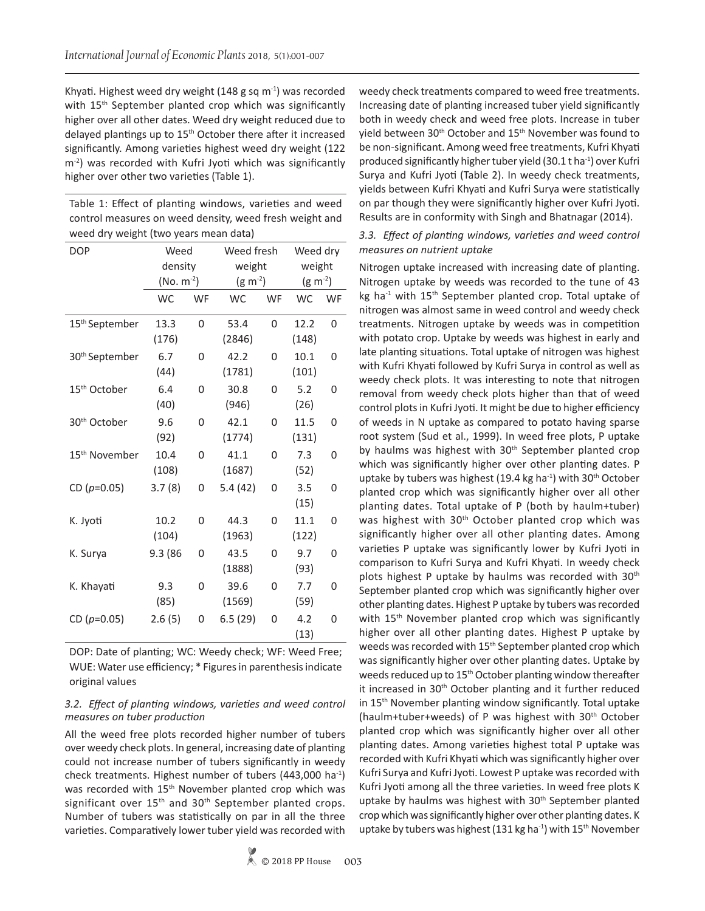Khyati. Highest weed dry weight (148 g sq  $m<sup>-1</sup>$ ) was recorded with 15<sup>th</sup> September planted crop which was significantly higher over all other dates. Weed dry weight reduced due to delayed plantings up to 15<sup>th</sup> October there after it increased significantly. Among varieties highest weed dry weight (122 m<sup>-2</sup>) was recorded with Kufri Jyoti which was significantly higher over other two varieties (Table 1).

| Table 1: Effect of planting windows, varieties and weed |
|---------------------------------------------------------|
| control measures on weed density, weed fresh weight and |
| weed dry weight (two years mean data)                   |

| <b>DOP</b>                 | Weed            |                | Weed fresh     |                | Weed dry      |                |  |
|----------------------------|-----------------|----------------|----------------|----------------|---------------|----------------|--|
|                            | density         |                | weight         |                | weight        |                |  |
|                            | (No. $m^{-2}$ ) |                | $(g m^{-2})$   |                | $(g m^{-2})$  |                |  |
|                            | <b>WC</b>       | WF             | <b>WC</b>      | WF             | <b>WC</b>     | WF             |  |
| 15 <sup>th</sup> September | 13.3<br>(176)   | $\overline{0}$ | 53.4<br>(2846) | $\Omega$       | 12.2<br>(148) | $\mathbf{0}$   |  |
| 30 <sup>th</sup> September | 6.7<br>(44)     | 0              | 42.2<br>(1781) | $\overline{0}$ | 10.1<br>(101) | 0              |  |
| 15 <sup>th</sup> October   | 6.4<br>(40)     | 0              | 30.8<br>(946)  | 0              | 5.2<br>(26)   | 0              |  |
| 30 <sup>th</sup> October   | 9.6<br>(92)     | 0              | 42.1<br>(1774) | 0              | 11.5<br>(131) | 0              |  |
| 15 <sup>th</sup> November  | 10.4<br>(108)   | $\overline{0}$ | 41.1<br>(1687) | $\Omega$       | 7.3<br>(52)   | $\overline{0}$ |  |
| CD $(p=0.05)$              | 3.7(8)          | 0              | 5.4(42)        | $\overline{0}$ | 3.5<br>(15)   | 0              |  |
| K. Jyoti                   | 10.2<br>(104)   | $\overline{0}$ | 44.3<br>(1963) | 0              | 11.1<br>(122) | 0              |  |
| K. Surya                   | 9.3 (86         | 0              | 43.5<br>(1888) | 0              | 9.7<br>(93)   | 0              |  |
| K. Khayati                 | 9.3<br>(85)     | 0              | 39.6<br>(1569) | 0              | 7.7<br>(59)   | 0              |  |
| CD $(p=0.05)$              | 2.6(5)          | 0              | 6.5(29)        | 0              | 4.2<br>(13)   | 0              |  |

DOP: Date of planting; WC: Weedy check; WF: Weed Free; WUE: Water use efficiency; \* Figures in parenthesis indicate original values

#### *3.2. Effect of planting windows, varieties and weed control measures on tuber production*

All the weed free plots recorded higher number of tubers over weedy check plots. In general, increasing date of planting could not increase number of tubers significantly in weedy check treatments. Highest number of tubers (443,000 ha-1) was recorded with 15th November planted crop which was significant over  $15<sup>th</sup>$  and  $30<sup>th</sup>$  September planted crops. Number of tubers was statistically on par in all the three varieties. Comparatively lower tuber yield was recorded with

weedy check treatments compared to weed free treatments. Increasing date of planting increased tuber yield significantly both in weedy check and weed free plots. Increase in tuber yield between 30<sup>th</sup> October and 15<sup>th</sup> November was found to be non-significant. Among weed free treatments, Kufri Khyati produced significantly higher tuber yield  $(30.1 t \text{ ha}^{-1})$  over Kufri Surya and Kufri Jyoti (Table 2). In weedy check treatments, yields between Kufri Khyati and Kufri Surya were statistically on par though they were significantly higher over Kufri Jyoti. Results are in conformity with Singh and Bhatnagar (2014).

# *3.3. Effect of planting windows, varieties and weed control measures on nutrient uptake*

Nitrogen uptake increased with increasing date of planting. Nitrogen uptake by weeds was recorded to the tune of 43 kg ha<sup>-1</sup> with 15<sup>th</sup> September planted crop. Total uptake of nitrogen was almost same in weed control and weedy check treatments. Nitrogen uptake by weeds was in competition with potato crop. Uptake by weeds was highest in early and late planting situations. Total uptake of nitrogen was highest with Kufri Khyati followed by Kufri Surya in control as well as weedy check plots. It was interesting to note that nitrogen removal from weedy check plots higher than that of weed control plots in Kufri Jyoti. It might be due to higher efficiency of weeds in N uptake as compared to potato having sparse root system (Sud et al., 1999). In weed free plots, P uptake by haulms was highest with 30<sup>th</sup> September planted crop which was significantly higher over other planting dates. P uptake by tubers was highest (19.4 kg ha<sup>-1</sup>) with 30<sup>th</sup> October planted crop which was significantly higher over all other planting dates. Total uptake of P (both by haulm+tuber) was highest with 30<sup>th</sup> October planted crop which was significantly higher over all other planting dates. Among varieties P uptake was significantly lower by Kufri Jyoti in comparison to Kufri Surya and Kufri Khyati. In weedy check plots highest P uptake by haulms was recorded with  $30<sup>th</sup>$ September planted crop which was significantly higher over other planting dates. Highest P uptake by tubers was recorded with 15<sup>th</sup> November planted crop which was significantly higher over all other planting dates. Highest P uptake by weeds was recorded with 15<sup>th</sup> September planted crop which was significantly higher over other planting dates. Uptake by weeds reduced up to 15<sup>th</sup> October planting window thereafter it increased in 30<sup>th</sup> October planting and it further reduced in 15<sup>th</sup> November planting window significantly. Total uptake (haulm+tuber+weeds) of P was highest with 30th October planted crop which was significantly higher over all other planting dates. Among varieties highest total P uptake was recorded with Kufri Khyati which was significantly higher over Kufri Surya and Kufri Jyoti. Lowest P uptake was recorded with Kufri Jyoti among all the three varieties. In weed free plots K uptake by haulms was highest with 30<sup>th</sup> September planted crop which was significantly higher over other planting dates. K uptake by tubers was highest (131 kg ha<sup>-1</sup>) with 15<sup>th</sup> November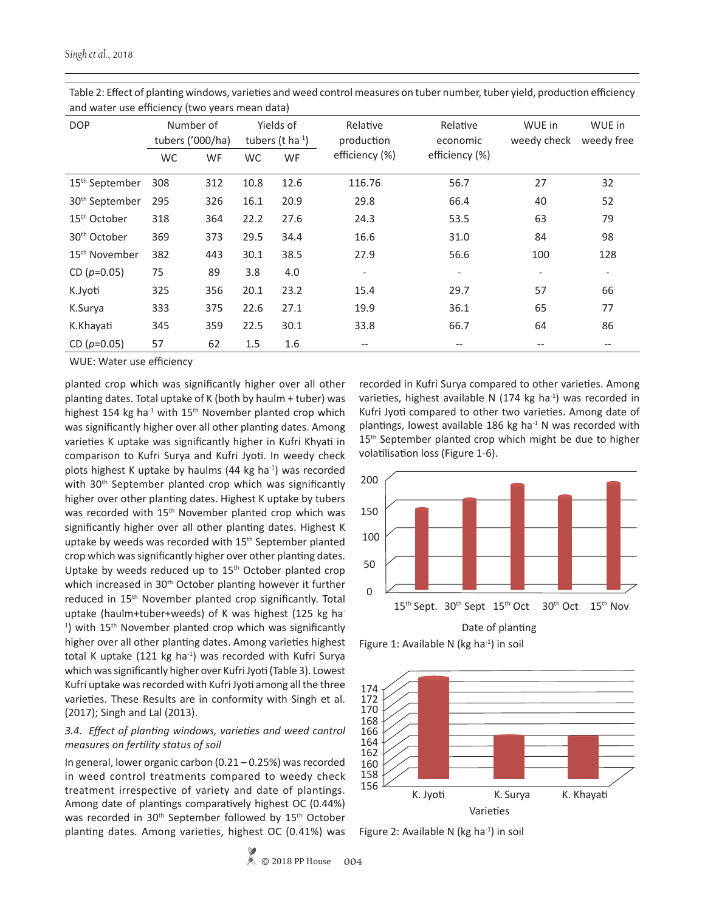| <b>DOP</b>                 |           | Number of<br>tubers ('000/ha) |      | Yields of<br>tubers (t ha $^{-1}$ ) | Relative<br>production   | Relative<br>economic     | WUE in<br>weedy check    | WUE in<br>weedy free     |
|----------------------------|-----------|-------------------------------|------|-------------------------------------|--------------------------|--------------------------|--------------------------|--------------------------|
|                            | <b>WC</b> | WF                            | WC   | <b>WF</b>                           | efficiency (%)           | efficiency (%)           |                          |                          |
| 15 <sup>th</sup> September | 308       | 312                           | 10.8 | 12.6                                | 116.76                   | 56.7                     | 27                       | 32                       |
| 30 <sup>th</sup> September | 295       | 326                           | 16.1 | 20.9                                | 29.8                     | 66.4                     | 40                       | 52                       |
| 15 <sup>th</sup> October   | 318       | 364                           | 22.2 | 27.6                                | 24.3                     | 53.5                     | 63                       | 79                       |
| 30 <sup>th</sup> October   | 369       | 373                           | 29.5 | 34.4                                | 16.6                     | 31.0                     | 84                       | 98                       |
| 15 <sup>th</sup> November  | 382       | 443                           | 30.1 | 38.5                                | 27.9                     | 56.6                     | 100                      | 128                      |
| CD $(p=0.05)$              | 75        | 89                            | 3.8  | 4.0                                 | $\overline{\phantom{a}}$ | $\overline{\phantom{a}}$ | $\overline{\phantom{a}}$ | $\overline{\phantom{a}}$ |
| K.Jyoti                    | 325       | 356                           | 20.1 | 23.2                                | 15.4                     | 29.7                     | 57                       | 66                       |
| K.Surya                    | 333       | 375                           | 22.6 | 27.1                                | 19.9                     | 36.1                     | 65                       | 77                       |
| K.Khayati                  | 345       | 359                           | 22.5 | 30.1                                | 33.8                     | 66.7                     | 64                       | 86                       |
| CD $(p=0.05)$              | 57        | 62                            | 1.5  | 1.6                                 | $- -$                    |                          |                          | --                       |

Table 2: Effect of planting windows, varieties and weed control measures on tuber number, tuber yield, production efficiency and water use efficiency (two years mean data)

WUE: Water use efficiency

planted crop which was significantly higher over all other planting dates. Total uptake of K (both by haulm + tuber) was highest 154 kg ha<sup>-1</sup> with 15<sup>th</sup> November planted crop which was significantly higher over all other planting dates. Among varieties K uptake was significantly higher in Kufri Khyati in comparison to Kufri Surya and Kufri Jyoti. In weedy check plots highest K uptake by haulms  $(44 \text{ kg} \text{ ha}^{-1})$  was recorded with 30<sup>th</sup> September planted crop which was significantly higher over other planting dates. Highest K uptake by tubers was recorded with 15<sup>th</sup> November planted crop which was significantly higher over all other planting dates. Highest K uptake by weeds was recorded with 15<sup>th</sup> September planted crop which was significantly higher over other planting dates. Uptake by weeds reduced up to  $15<sup>th</sup>$  October planted crop which increased in 30<sup>th</sup> October planting however it further reduced in 15th November planted crop significantly. Total uptake (haulm+tuber+weeds) of K was highest (125 kg ha- $1$ ) with 15<sup>th</sup> November planted crop which was significantly higher over all other planting dates. Among varieties highest total K uptake (121 kg ha $^{-1}$ ) was recorded with Kufri Surya which was significantly higher over Kufri Jyoti (Table 3). Lowest Kufri uptake was recorded with Kufri Jyoti among all the three varieties. These Results are in conformity with Singh et al. (2017); Singh and Lal (2013).

## *3.4. Effect of planting windows, varieties and weed control measures on fertility status of soil*

In general, lower organic carbon (0.21 – 0.25%) was recorded in weed control treatments compared to weedy check treatment irrespective of variety and date of plantings. Among date of plantings comparatively highest OC (0.44%) was recorded in 30<sup>th</sup> September followed by 15<sup>th</sup> October planting dates. Among varieties, highest OC (0.41%) was recorded in Kufri Surya compared to other varieties. Among varieties, highest available N (174 kg ha $^{-1}$ ) was recorded in Kufri Jyoti compared to other two varieties. Among date of plantings, lowest available 186 kg ha $^{-1}$  N was recorded with 15<sup>th</sup> September planted crop which might be due to higher volatilisation loss (Figure 1-6).



Figure 1: Available N ( $kg$  ha $^{-1}$ ) in soil



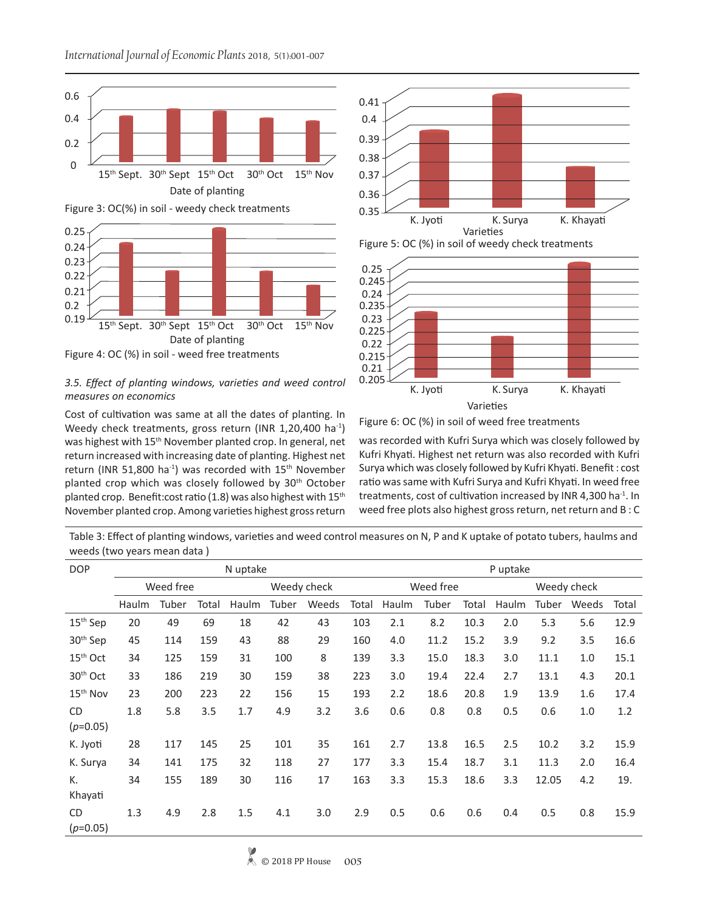

Figure 3: OC(%) in soil - weedy check treatments



# 3.5. Effect of planting windows, varieties and weed control  $0.205 \frac{1}{\sqrt{1-\frac{1}{1-\frac{1}{1-\frac{1}{1-\frac{1}{1-\frac{1}{1-\frac{1}{1-\frac{1}{1-\frac{1}{1-\frac{1}{1-\frac{1}{1-\frac{1}{1-\frac{1}{1-\frac{1}{1-\frac{1}{1-\frac{1}{1-\frac{1}{1-\frac{1}{1-\frac{1}{1-\frac{1}{1-\frac{1}{1-\frac{1}{1-\frac{1}{1-\frac{1}{1-\frac{1}{1-\frac{$ *measures on economics*

Cost of cultivation was same at all the dates of planting. In Weedy check treatments, gross return (INR 1,20,400 ha<sup>-1</sup>) was highest with 15<sup>th</sup> November planted crop. In general, net return increased with increasing date of planting. Highest net return (INR 51,800 ha<sup>-1</sup>) was recorded with 15<sup>th</sup> November planted crop which was closely followed by 30<sup>th</sup> October planted crop. Benefit: cost ratio (1.8) was also highest with  $15<sup>th</sup>$ November planted crop. Among varieties highest gross return







Figure 6: OC (%) in soil of weed free treatments

was recorded with Kufri Surya which was closely followed by Kufri Khyati. Highest net return was also recorded with Kufri Surya which was closely followed by Kufri Khyati. Benefit : cost ratio was same with Kufri Surya and Kufri Khyati. In weed free treatments, cost of cultivation increased by INR 4,300 ha<sup>-1</sup>. In weed free plots also highest gross return, net return and B : C

Table 3: Effect of planting windows, varieties and weed control measures on N, P and K uptake of potato tubers, haulms and weeds (two years mean data )

| <b>DOP</b>              | N uptake |           |       |             |       |       |       | P uptake  |       |       |             |       |       |       |
|-------------------------|----------|-----------|-------|-------------|-------|-------|-------|-----------|-------|-------|-------------|-------|-------|-------|
|                         |          | Weed free |       | Weedy check |       |       |       | Weed free |       |       | Weedy check |       |       |       |
|                         | Haulm    | Tuber     | Total | Haulm       | Tuber | Weeds | Total | Haulm     | Tuber | Total | Haulm       | Tuber | Weeds | Total |
| 15 <sup>th</sup> Sep    | 20       | 49        | 69    | 18          | 42    | 43    | 103   | 2.1       | 8.2   | 10.3  | 2.0         | 5.3   | 5.6   | 12.9  |
| 30 <sup>th</sup> Sep    | 45       | 114       | 159   | 43          | 88    | 29    | 160   | 4.0       | 11.2  | 15.2  | 3.9         | 9.2   | 3.5   | 16.6  |
| $15th$ Oct              | 34       | 125       | 159   | 31          | 100   | 8     | 139   | 3.3       | 15.0  | 18.3  | 3.0         | 11.1  | 1.0   | 15.1  |
| 30 <sup>th</sup> Oct    | 33       | 186       | 219   | 30          | 159   | 38    | 223   | 3.0       | 19.4  | 22.4  | 2.7         | 13.1  | 4.3   | 20.1  |
| 15 <sup>th</sup> Nov    | 23       | 200       | 223   | 22          | 156   | 15    | 193   | 2.2       | 18.6  | 20.8  | 1.9         | 13.9  | 1.6   | 17.4  |
| <b>CD</b><br>$(p=0.05)$ | 1.8      | 5.8       | 3.5   | 1.7         | 4.9   | 3.2   | 3.6   | 0.6       | 0.8   | 0.8   | 0.5         | 0.6   | 1.0   | 1.2   |
| K. Jyoti                | 28       | 117       | 145   | 25          | 101   | 35    | 161   | 2.7       | 13.8  | 16.5  | 2.5         | 10.2  | 3.2   | 15.9  |
| K. Surya                | 34       | 141       | 175   | 32          | 118   | 27    | 177   | 3.3       | 15.4  | 18.7  | 3.1         | 11.3  | 2.0   | 16.4  |
| К.<br>Khayati           | 34       | 155       | 189   | 30          | 116   | 17    | 163   | 3.3       | 15.3  | 18.6  | 3.3         | 12.05 | 4.2   | 19.   |
| CD.<br>$(p=0.05)$       | 1.3      | 4.9       | 2.8   | 1.5         | 4.1   | 3.0   | 2.9   | 0.5       | 0.6   | 0.6   | 0.4         | 0.5   | 0.8   | 15.9  |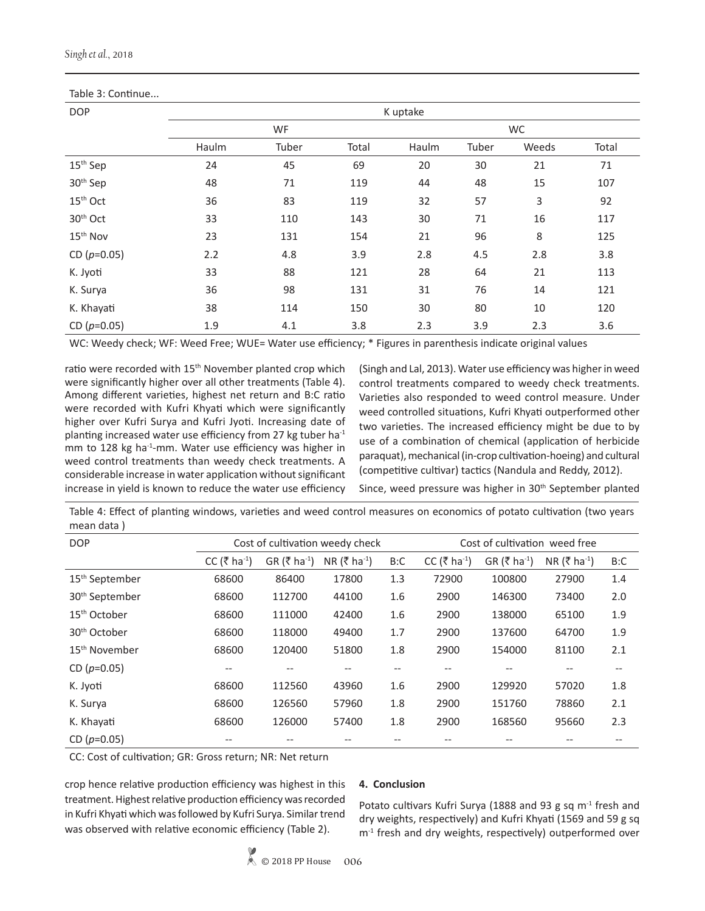| Table 3: Continue    |       |          |       |       |       |       |       |  |  |  |  |
|----------------------|-------|----------|-------|-------|-------|-------|-------|--|--|--|--|
| <b>DOP</b>           |       | K uptake |       |       |       |       |       |  |  |  |  |
|                      |       | WF       |       |       | WC    |       |       |  |  |  |  |
|                      | Haulm | Tuber    | Total | Haulm | Tuber | Weeds | Total |  |  |  |  |
| 15 <sup>th</sup> Sep | 24    | 45       | 69    | 20    | 30    | 21    | 71    |  |  |  |  |
| 30 <sup>th</sup> Sep | 48    | 71       | 119   | 44    | 48    | 15    | 107   |  |  |  |  |
| 15 <sup>th</sup> Oct | 36    | 83       | 119   | 32    | 57    | 3     | 92    |  |  |  |  |
| 30 <sup>th</sup> Oct | 33    | 110      | 143   | 30    | 71    | 16    | 117   |  |  |  |  |
| 15 <sup>th</sup> Nov | 23    | 131      | 154   | 21    | 96    | 8     | 125   |  |  |  |  |
| CD $(p=0.05)$        | 2.2   | 4.8      | 3.9   | 2.8   | 4.5   | 2.8   | 3.8   |  |  |  |  |
| K. Jyoti             | 33    | 88       | 121   | 28    | 64    | 21    | 113   |  |  |  |  |
| K. Surya             | 36    | 98       | 131   | 31    | 76    | 14    | 121   |  |  |  |  |
| K. Khayati           | 38    | 114      | 150   | 30    | 80    | 10    | 120   |  |  |  |  |
| CD $(p=0.05)$        | 1.9   | 4.1      | 3.8   | 2.3   | 3.9   | 2.3   | 3.6   |  |  |  |  |

Table 3: Continue...

WC: Weedy check; WF: Weed Free; WUE= Water use efficiency; \* Figures in parenthesis indicate original values

ratio were recorded with 15<sup>th</sup> November planted crop which were significantly higher over all other treatments (Table 4). Among different varieties, highest net return and B:C ratio were recorded with Kufri Khyati which were significantly higher over Kufri Surya and Kufri Jyoti. Increasing date of planting increased water use efficiency from 27 kg tuber ha $^{-1}$ mm to 128 kg ha<sup>-1</sup>-mm. Water use efficiency was higher in weed control treatments than weedy check treatments. A considerable increase in water application without significant increase in yield is known to reduce the water use efficiency

(Singh and Lal, 2013). Water use efficiency was higher in weed control treatments compared to weedy check treatments. Varieties also responded to weed control measure. Under weed controlled situations, Kufri Khyati outperformed other two varieties. The increased efficiency might be due to by use of a combination of chemical (application of herbicide paraquat), mechanical (in-crop cultivation-hoeing) and cultural (competitive cultivar) tactics (Nandula and Reddy, 2012).

Since, weed pressure was higher in 30<sup>th</sup> September planted

Table 4: Effect of planting windows, varieties and weed control measures on economics of potato cultivation (two years mean data )

| <b>DOP</b>                 |                          |                                                               | Cost of cultivation weedy check | Cost of cultivation weed free |                            |                          |       |     |  |
|----------------------------|--------------------------|---------------------------------------------------------------|---------------------------------|-------------------------------|----------------------------|--------------------------|-------|-----|--|
|                            | CC (₹ ha <sup>-1</sup> ) | $GR (\xi \text{ ha}^{-1})$<br>NR (₹ ha <sup>-1</sup> )<br>B:C |                                 | CC (₹ ha <sup>-1</sup> )      | $GR (\xi \text{ ha}^{-1})$ | NR (₹ ha <sup>-1</sup> ) | B:C   |     |  |
| 15 <sup>th</sup> September | 68600                    | 86400                                                         | 17800                           | 1.3                           | 72900                      | 100800                   | 27900 | 1.4 |  |
| 30 <sup>th</sup> September | 68600                    | 112700                                                        | 44100                           | 1.6                           | 2900                       | 146300                   | 73400 | 2.0 |  |
| 15 <sup>th</sup> October   | 68600                    | 111000                                                        | 42400                           | 1.6                           | 2900                       | 138000                   | 65100 | 1.9 |  |
| 30 <sup>th</sup> October   | 68600                    | 118000                                                        | 49400                           | 1.7                           | 2900                       | 137600                   | 64700 | 1.9 |  |
| 15 <sup>th</sup> November  | 68600                    | 120400                                                        | 51800                           | 1.8                           | 2900                       | 154000                   | 81100 | 2.1 |  |
| CD $(p=0.05)$              | --                       | --                                                            |                                 | --                            | --                         |                          |       | --  |  |
| K. Jyoti                   | 68600                    | 112560                                                        | 43960                           | 1.6                           | 2900                       | 129920                   | 57020 | 1.8 |  |
| K. Surya                   | 68600                    | 126560                                                        | 57960                           | 1.8                           | 2900                       | 151760                   | 78860 | 2.1 |  |
| K. Khayati                 | 68600                    | 126000                                                        | 57400                           | 1.8                           | 2900                       | 168560                   | 95660 | 2.3 |  |
| CD $(p=0.05)$              |                          |                                                               |                                 |                               |                            |                          |       |     |  |

CC: Cost of cultivation; GR: Gross return; NR: Net return

crop hence relative production efficiency was highest in this treatment. Highest relative production efficiency was recorded in Kufri Khyati which was followed by Kufri Surya. Similar trend was observed with relative economic efficiency (Table 2).

# **4. Conclusion**

Potato cultivars Kufri Surya (1888 and 93 g sq  $m<sup>-1</sup>$  fresh and dry weights, respectively) and Kufri Khyati (1569 and 59 g sq  $m<sup>-1</sup>$  fresh and dry weights, respectively) outperformed over